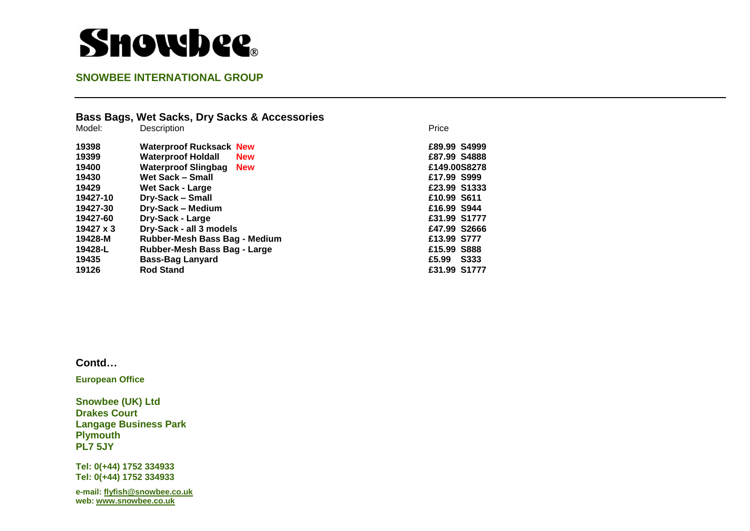# **Showbee**.

## **SNOWBEE INTERNATIONAL GROUP**

| Bass Bags, Wet Sacks, Dry Sacks & Accessories |                         |  |
|-----------------------------------------------|-------------------------|--|
| <b>Description</b>                            | Price                   |  |
| <b>Waterproof Rucksack New</b>                | £89.99 S4999            |  |
| <b>Waterproof Holdall</b><br><b>New</b>       | £87.99 S4888            |  |
| Waterproof Slingbag<br><b>New</b>             | £149.00S8278            |  |
| Wet Sack - Small                              | £17.99 S999             |  |
| <b>Wet Sack - Large</b>                       | £23.99 S1333            |  |
| Dry-Sack – Small                              | £10.99 S611             |  |
| Dry-Sack - Medium                             | £16.99 S944             |  |
| <b>Dry-Sack - Large</b>                       | £31.99 S1777            |  |
| Dry-Sack - all 3 models                       | £47.99 S2666            |  |
| Rubber-Mesh Bass Bag - Medium                 | £13.99 S777             |  |
| Rubber-Mesh Bass Bag - Large                  | £15.99 S888             |  |
|                                               | <b>S333</b><br>£5.99    |  |
| <b>Rod Stand</b>                              | £31.99 S1777            |  |
|                                               | <b>Bass-Bag Lanyard</b> |  |

#### **Contd…**

**European Office** 

**Snowbee (UK) Ltd Drakes Court Langage Business Park Plymouth PL7 5JY** 

**Tel: 0(+44) 1752 334933 Tel: 0(+44) 1752 334933** 

**e-mail[: flyfish@snowbee.co.uk](mailto:flyfish@snowbee.co.uk)  web: [www.snowbee.co.uk](http://www.snowbee.co.uk/)**